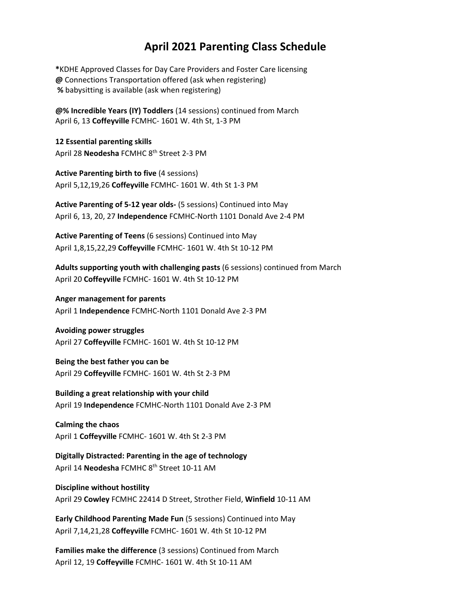## **April 2021 Parenting Class Schedule**

**\***KDHE Approved Classes for Day Care Providers and Foster Care licensing **@** Connections Transportation offered (ask when registering) **%** babysitting is available (ask when registering)

**@% Incredible Years (IY) Toddlers** (14 sessions) continued from March April 6, 13 **Coffeyville** FCMHC‐ 1601 W. 4th St, 1‐3 PM

**12 Essential parenting skills** April 28 **Neodesha** FCMHC 8<sup>th</sup> Street 2-3 PM

**Active Parenting birth to five** (4 sessions) April 5,12,19,26 **Coffeyville** FCMHC‐ 1601 W. 4th St 1‐3 PM

**Active Parenting of 5‐12 year olds‐** (5 sessions) Continued into May April 6, 13, 20, 27 **Independence** FCMHC‐North 1101 Donald Ave 2‐4 PM

**Active Parenting of Teens** (6 sessions) Continued into May April 1,8,15,22,29 **Coffeyville** FCMHC‐ 1601 W. 4th St 10‐12 PM

**Adults supporting youth with challenging pasts** (6 sessions) continued from March April 20 **Coffeyville** FCMHC‐ 1601 W. 4th St 10‐12 PM

**Anger management for parents** April 1 **Independence** FCMHC‐North 1101 Donald Ave 2‐3 PM

**Avoiding power struggles** April 27 **Coffeyville** FCMHC‐ 1601 W. 4th St 10‐12 PM

**Being the best father you can be** April 29 **Coffeyville** FCMHC‐ 1601 W. 4th St 2‐3 PM

**Building a great relationship with your child** April 19 **Independence** FCMHC‐North 1101 Donald Ave 2‐3 PM

**Calming the chaos** April 1 **Coffeyville** FCMHC‐ 1601 W. 4th St 2‐3 PM

**Digitally Distracted: Parenting in the age of technology** April 14 **Neodesha** FCMHC 8th Street 10‐11 AM

**Discipline without hostility** April 29 **Cowley** FCMHC 22414 D Street, Strother Field, **Winfield** 10‐11 AM

**Early Childhood Parenting Made Fun** (5 sessions) Continued into May April 7,14,21,28 **Coffeyville** FCMHC‐ 1601 W. 4th St 10‐12 PM

**Families make the difference** (3 sessions) Continued from March April 12, 19 **Coffeyville** FCMHC‐ 1601 W. 4th St 10‐11 AM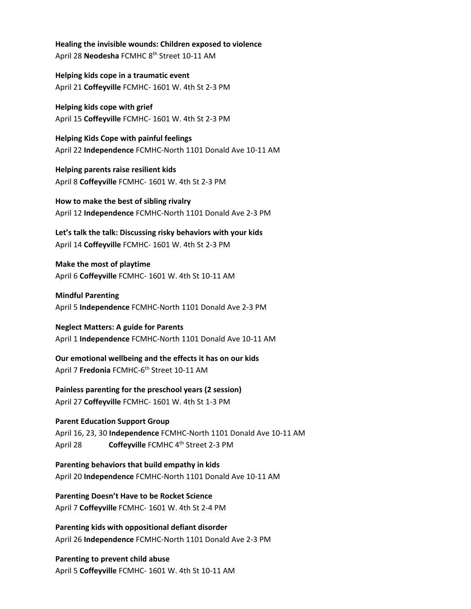**Healing the invisible wounds: Children exposed to violence** April 28 **Neodesha** FCMHC 8th Street 10‐11 AM

**Helping kids cope in a traumatic event** April 21 **Coffeyville** FCMHC‐ 1601 W. 4th St 2‐3 PM

**Helping kids cope with grief** April 15 **Coffeyville** FCMHC‐ 1601 W. 4th St 2‐3 PM

**Helping Kids Cope with painful feelings** April 22 **Independence** FCMHC‐North 1101 Donald Ave 10‐11 AM

**Helping parents raise resilient kids** April 8 **Coffeyville** FCMHC‐ 1601 W. 4th St 2‐3 PM

**How to make the best of sibling rivalry** April 12 **Independence** FCMHC‐North 1101 Donald Ave 2‐3 PM

**Let's talk the talk: Discussing risky behaviors with your kids** April 14 **Coffeyville** FCMHC‐ 1601 W. 4th St 2‐3 PM

**Make the most of playtime**  April 6 **Coffeyville** FCMHC‐ 1601 W. 4th St 10‐11 AM

**Mindful Parenting** April 5 **Independence** FCMHC‐North 1101 Donald Ave 2‐3 PM

**Neglect Matters: A guide for Parents** April 1 **Independence** FCMHC‐North 1101 Donald Ave 10‐11 AM

**Our emotional wellbeing and the effects it has on our kids** April 7 **Fredonia** FCMHC-6<sup>th</sup> Street 10-11 AM

**Painless parenting for the preschool years (2 session)** April 27 **Coffeyville** FCMHC‐ 1601 W. 4th St 1‐3 PM

**Parent Education Support Group** April 16, 23, 30 **Independence** FCMHC‐North 1101 Donald Ave 10‐11 AM April 28 **Coffeyville** FCMHC 4<sup>th</sup> Street 2-3 PM

**Parenting behaviors that build empathy in kids** April 20 **Independence** FCMHC‐North 1101 Donald Ave 10‐11 AM

**Parenting Doesn't Have to be Rocket Science** April 7 **Coffeyville** FCMHC‐ 1601 W. 4th St 2‐4 PM

**Parenting kids with oppositional defiant disorder** April 26 **Independence** FCMHC‐North 1101 Donald Ave 2‐3 PM

**Parenting to prevent child abuse** April 5 **Coffeyville** FCMHC‐ 1601 W. 4th St 10‐11 AM